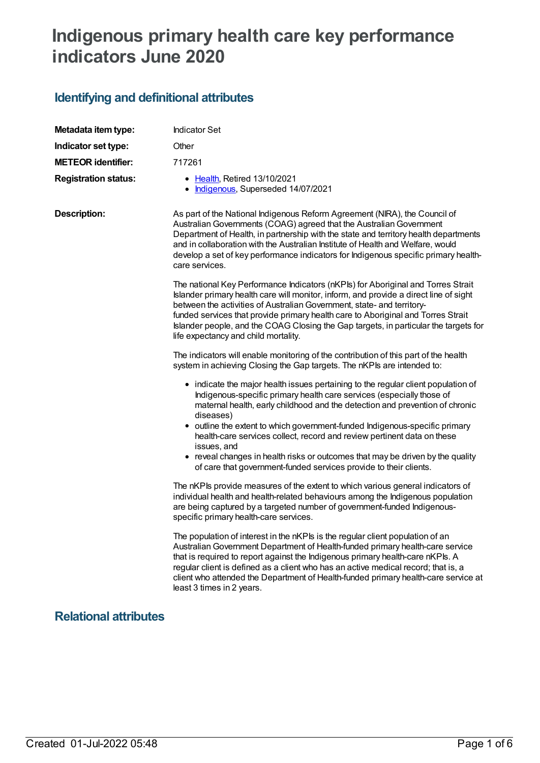# **Indigenous primary health care key performance indicators June 2020**

# **Identifying and definitional attributes**

| Metadata item type:         | <b>Indicator Set</b>                                                                                                                                                                                                                                                                                                                                                                                                                                                                                                                                                                    |  |
|-----------------------------|-----------------------------------------------------------------------------------------------------------------------------------------------------------------------------------------------------------------------------------------------------------------------------------------------------------------------------------------------------------------------------------------------------------------------------------------------------------------------------------------------------------------------------------------------------------------------------------------|--|
| Indicator set type:         | Other                                                                                                                                                                                                                                                                                                                                                                                                                                                                                                                                                                                   |  |
| <b>METEOR identifier:</b>   | 717261                                                                                                                                                                                                                                                                                                                                                                                                                                                                                                                                                                                  |  |
| <b>Registration status:</b> | • Health, Retired 13/10/2021<br>Indigenous, Superseded 14/07/2021                                                                                                                                                                                                                                                                                                                                                                                                                                                                                                                       |  |
| <b>Description:</b>         | As part of the National Indigenous Reform Agreement (NIRA), the Council of<br>Australian Governments (COAG) agreed that the Australian Government<br>Department of Health, in partnership with the state and territory health departments<br>and in collaboration with the Australian Institute of Health and Welfare, would<br>develop a set of key performance indicators for Indigenous specific primary health-<br>care services.                                                                                                                                                   |  |
|                             | The national Key Performance Indicators (nKPIs) for Aboriginal and Torres Strait<br>Islander primary health care will monitor, inform, and provide a direct line of sight<br>between the activities of Australian Government, state- and territory-<br>funded services that provide primary health care to Aboriginal and Torres Strait<br>Islander people, and the COAG Closing the Gap targets, in particular the targets for<br>life expectancy and child mortality.                                                                                                                 |  |
|                             | The indicators will enable monitoring of the contribution of this part of the health<br>system in achieving Closing the Gap targets. The nKPIs are intended to:                                                                                                                                                                                                                                                                                                                                                                                                                         |  |
|                             | • indicate the major health issues pertaining to the regular client population of<br>Indigenous-specific primary health care services (especially those of<br>maternal health, early childhood and the detection and prevention of chronic<br>diseases)<br>• outline the extent to which government-funded Indigenous-specific primary<br>health-care services collect, record and review pertinent data on these<br>issues, and<br>• reveal changes in health risks or outcomes that may be driven by the quality<br>of care that government-funded services provide to their clients. |  |
|                             | The nKPIs provide measures of the extent to which various general indicators of<br>individual health and health-related behaviours among the Indigenous population<br>are being captured by a targeted number of government-funded Indigenous-<br>specific primary health-care services.                                                                                                                                                                                                                                                                                                |  |
|                             | The population of interest in the nKPIs is the regular client population of an<br>Australian Government Department of Health-funded primary health-care service<br>that is required to report against the Indigenous primary health-care nKPIs. A<br>regular client is defined as a client who has an active medical record; that is, a<br>client who attended the Department of Health-funded primary health-care service at<br>least 3 times in 2 years.                                                                                                                              |  |
|                             |                                                                                                                                                                                                                                                                                                                                                                                                                                                                                                                                                                                         |  |

#### **Relational attributes**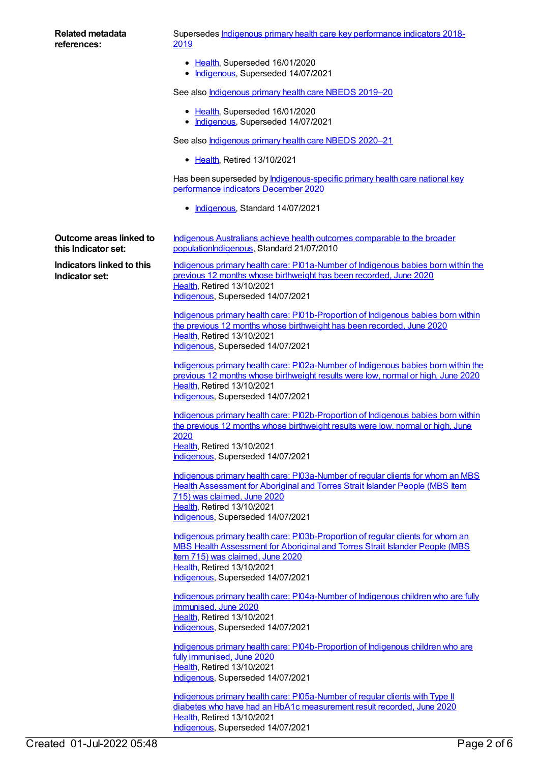| <b>Related metadata</b><br>references:                | Supersedes Indigenous primary health care key performance indicators 2018-<br><u> 2019</u>                                                                                                                                               |
|-------------------------------------------------------|------------------------------------------------------------------------------------------------------------------------------------------------------------------------------------------------------------------------------------------|
|                                                       | • Health, Superseded 16/01/2020<br>· Indigenous, Superseded 14/07/2021                                                                                                                                                                   |
|                                                       | See also <b>Indigenous primary health care NBEDS 2019-20</b>                                                                                                                                                                             |
|                                                       | • Health, Superseded 16/01/2020<br>· Indigenous, Superseded 14/07/2021                                                                                                                                                                   |
|                                                       | See also <b>Indigenous primary health care NBEDS 2020-21</b>                                                                                                                                                                             |
|                                                       | • Health, Retired 13/10/2021                                                                                                                                                                                                             |
|                                                       | Has been superseded by <b>Indigenous-specific primary health care national key</b><br>performance indicators December 2020                                                                                                               |
|                                                       | • Indigenous, Standard 14/07/2021                                                                                                                                                                                                        |
| <b>Outcome areas linked to</b><br>this Indicator set: | Indigenous Australians achieve health outcomes comparable to the broader<br>populationIndigenous, Standard 21/07/2010                                                                                                                    |
| Indicators linked to this<br>Indicator set:           | Indigenous primary health care: PI01a-Number of Indigenous babies born within the<br>previous 12 months whose birthweight has been recorded, June 2020<br>Health, Retired 13/10/2021                                                     |
|                                                       | Indigenous, Superseded 14/07/2021                                                                                                                                                                                                        |
|                                                       | Indigenous primary health care: PI01b-Proportion of Indigenous babies born within<br>the previous 12 months whose birthweight has been recorded, June 2020<br>Health, Retired 13/10/2021                                                 |
|                                                       | Indigenous, Superseded 14/07/2021                                                                                                                                                                                                        |
|                                                       | Indigenous primary health care: PI02a-Number of Indigenous babies born within the<br>previous 12 months whose birthweight results were low, normal or high, June 2020<br>Health, Retired 13/10/2021<br>Indigenous, Superseded 14/07/2021 |
|                                                       | Indigenous primary health care: PI02b-Proportion of Indigenous babies born within<br>the previous 12 months whose birthweight results were low, normal or high, June                                                                     |
|                                                       | 2020<br>Health, Retired 13/10/2021<br>Indigenous, Superseded 14/07/2021                                                                                                                                                                  |
|                                                       | Indigenous primary health care: PI03a-Number of regular clients for whom an MBS<br>Health Assessment for Aboriginal and Torres Strait Islander People (MBS Item<br>715) was claimed, June 2020<br>Health, Retired 13/10/2021             |
|                                                       | Indigenous, Superseded 14/07/2021                                                                                                                                                                                                        |
|                                                       | Indigenous primary health care: PI03b-Proportion of regular clients for whom an<br>MBS Health Assessment for Aboriginal and Torres Strait Islander People (MBS<br>Item 715) was claimed, June 2020                                       |
|                                                       | Health, Retired 13/10/2021<br>Indigenous, Superseded 14/07/2021                                                                                                                                                                          |
|                                                       | Indigenous primary health care: PI04a-Number of Indigenous children who are fully<br>immunised, June 2020                                                                                                                                |
|                                                       | Health, Retired 13/10/2021<br>Indigenous, Superseded 14/07/2021                                                                                                                                                                          |
|                                                       | Indigenous primary health care: PI04b-Proportion of Indigenous children who are<br>fully immunised, June 2020                                                                                                                            |
|                                                       | Health, Retired 13/10/2021<br>Indigenous, Superseded 14/07/2021                                                                                                                                                                          |
|                                                       | Indigenous primary health care: PI05a-Number of regular clients with Type II<br>diabetes who have had an HbA1c measurement result recorded, June 2020<br>Health, Retired 13/10/2021                                                      |

[Indigenous](https://meteor.aihw.gov.au/RegistrationAuthority/6), Superseded 14/07/2021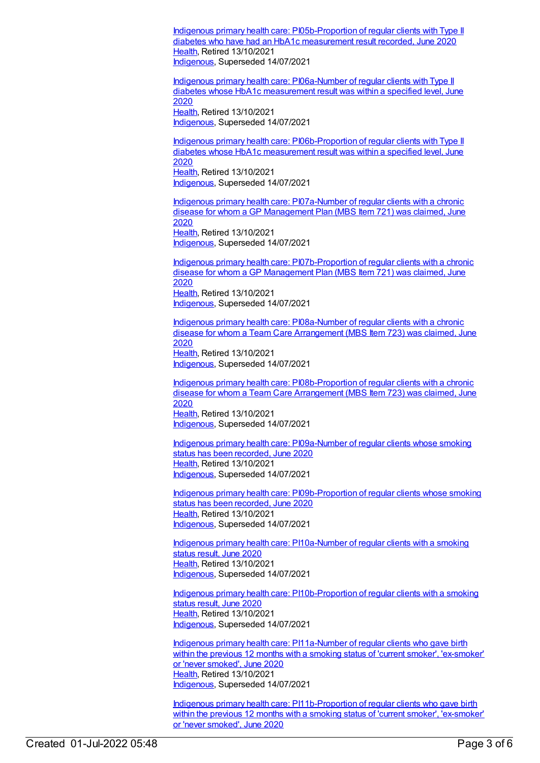Indigenous primary health care: [PI05b-Proportion](https://meteor.aihw.gov.au/content/717285) of regular clients with Type II diabetes who have had an HbA1c measurement result recorded, June 2020 [Health](https://meteor.aihw.gov.au/RegistrationAuthority/12), Retired 13/10/2021 [Indigenous](https://meteor.aihw.gov.au/RegistrationAuthority/6), Superseded 14/07/2021

Indigenous primary health care: [PI06a-Number](https://meteor.aihw.gov.au/content/717287) of regular clients with Type II diabetes whose HbA1c measurement result was within a specified level, June 2020 [Health](https://meteor.aihw.gov.au/RegistrationAuthority/12), Retired 13/10/2021 [Indigenous](https://meteor.aihw.gov.au/RegistrationAuthority/6), Superseded 14/07/2021

Indigenous primary health care: [PI06b-Proportion](https://meteor.aihw.gov.au/content/717289) of regular clients with Type II diabetes whose HbA1c measurement result was within a specified level, June 2020 [Health](https://meteor.aihw.gov.au/RegistrationAuthority/12), Retired 13/10/2021 [Indigenous](https://meteor.aihw.gov.au/RegistrationAuthority/6), Superseded 14/07/2021

Indigenous primary health care: [PI07a-Number](https://meteor.aihw.gov.au/content/717292) of regular clients with a chronic disease for whom a GP Management Plan (MBS Item 721) was claimed, June 2020 [Health](https://meteor.aihw.gov.au/RegistrationAuthority/12), Retired 13/10/2021 [Indigenous](https://meteor.aihw.gov.au/RegistrationAuthority/6), Superseded 14/07/2021

Indigenous primary health care: [PI07b-Proportion](https://meteor.aihw.gov.au/content/717294) of regular clients with a chronic disease for whom a GP Management Plan (MBS Item 721) was claimed, June 2020 [Health](https://meteor.aihw.gov.au/RegistrationAuthority/12), Retired 13/10/2021 [Indigenous](https://meteor.aihw.gov.au/RegistrationAuthority/6), Superseded 14/07/2021

Indigenous primary health care: [PI08a-Number](https://meteor.aihw.gov.au/content/717296) of regular clients with a chronic disease for whom a Team Care Arrangement (MBS Item 723) was claimed, June 2020 [Health](https://meteor.aihw.gov.au/RegistrationAuthority/12), Retired 13/10/2021 [Indigenous](https://meteor.aihw.gov.au/RegistrationAuthority/6), Superseded 14/07/2021

Indigenous primary health care: [PI08b-Proportion](https://meteor.aihw.gov.au/content/717298) of regular clients with a chronic disease for whom a Team Care Arrangement (MBS Item 723) was claimed, June 2020 [Health](https://meteor.aihw.gov.au/RegistrationAuthority/12), Retired 13/10/2021 [Indigenous](https://meteor.aihw.gov.au/RegistrationAuthority/6), Superseded 14/07/2021

Indigenous primary health care: [PI09a-Number](https://meteor.aihw.gov.au/content/717300) of regular clients whose smoking status has been recorded, June 2020 [Health](https://meteor.aihw.gov.au/RegistrationAuthority/12), Retired 13/10/2021 [Indigenous](https://meteor.aihw.gov.au/RegistrationAuthority/6), Superseded 14/07/2021

Indigenous primary health care: [PI09b-Proportion](https://meteor.aihw.gov.au/content/717302) of regular clients whose smoking status has been recorded, June 2020 [Health](https://meteor.aihw.gov.au/RegistrationAuthority/12), Retired 13/10/2021 [Indigenous](https://meteor.aihw.gov.au/RegistrationAuthority/6), Superseded 14/07/2021

Indigenous primary health care: [PI10a-Number](https://meteor.aihw.gov.au/content/717304) of regular clients with a smoking status result, June 2020 [Health](https://meteor.aihw.gov.au/RegistrationAuthority/12), Retired 13/10/2021 [Indigenous](https://meteor.aihw.gov.au/RegistrationAuthority/6), Superseded 14/07/2021

Indigenous primary health care: [PI10b-Proportion](https://meteor.aihw.gov.au/content/717306) of regular clients with a smoking status result, June 2020 [Health](https://meteor.aihw.gov.au/RegistrationAuthority/12), Retired 13/10/2021 [Indigenous](https://meteor.aihw.gov.au/RegistrationAuthority/6), Superseded 14/07/2021

Indigenous primary health care: [PI11a-Number](https://meteor.aihw.gov.au/content/717308) of regular clients who gave birth within the previous 12 months with a smoking status of 'current smoker', 'ex-smoker' or 'never smoked', June 2020 [Health](https://meteor.aihw.gov.au/RegistrationAuthority/12), Retired 13/10/2021 [Indigenous](https://meteor.aihw.gov.au/RegistrationAuthority/6), Superseded 14/07/2021

Indigenous primary health care: [PI11b-Proportion](https://meteor.aihw.gov.au/content/717310) of regular clients who gave birth within the previous 12 months with a smoking status of 'current smoker', 'ex-smoker' or 'never smoked', June 2020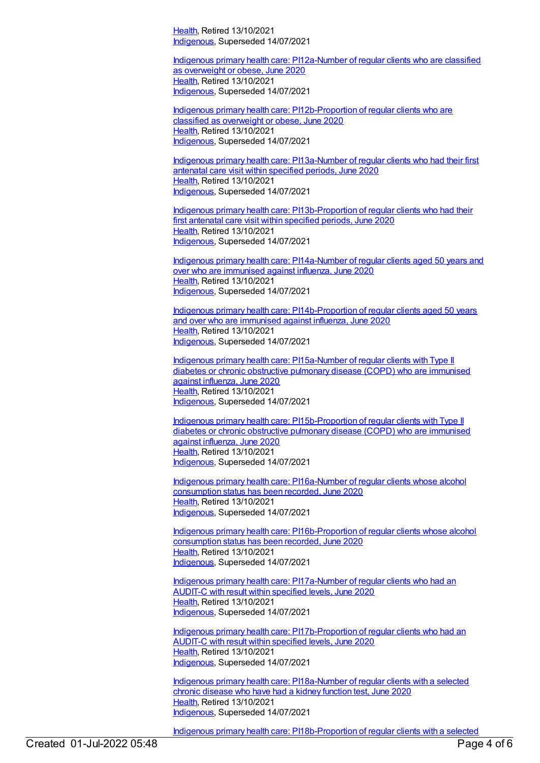[Health](https://meteor.aihw.gov.au/RegistrationAuthority/12), Retired 13/10/2021 [Indigenous](https://meteor.aihw.gov.au/RegistrationAuthority/6), Superseded 14/07/2021

Indigenous primary health care: [PI12a-Number](https://meteor.aihw.gov.au/content/717312) of regular clients who are classified as overweight or obese, June 2020 [Health](https://meteor.aihw.gov.au/RegistrationAuthority/12), Retired 13/10/2021 [Indigenous](https://meteor.aihw.gov.au/RegistrationAuthority/6), Superseded 14/07/2021

Indigenous primary health care: [PI12b-Proportion](https://meteor.aihw.gov.au/content/717314) of regular clients who are classified as overweight or obese, June 2020 [Health](https://meteor.aihw.gov.au/RegistrationAuthority/12), Retired 13/10/2021 [Indigenous](https://meteor.aihw.gov.au/RegistrationAuthority/6), Superseded 14/07/2021

Indigenous primary health care: [PI13a-Number](https://meteor.aihw.gov.au/content/717316) of regular clients who had their first antenatal care visit within specified periods, June 2020 [Health](https://meteor.aihw.gov.au/RegistrationAuthority/12), Retired 13/10/2021 [Indigenous](https://meteor.aihw.gov.au/RegistrationAuthority/6), Superseded 14/07/2021

Indigenous primary health care: [PI13b-Proportion](https://meteor.aihw.gov.au/content/717318) of regular clients who had their first antenatal care visit within specified periods, June 2020 [Health](https://meteor.aihw.gov.au/RegistrationAuthority/12), Retired 13/10/2021 [Indigenous](https://meteor.aihw.gov.au/RegistrationAuthority/6), Superseded 14/07/2021

Indigenous primary health care: [PI14a-Number](https://meteor.aihw.gov.au/content/717320) of regular clients aged 50 years and over who are immunised against influenza, June 2020 [Health](https://meteor.aihw.gov.au/RegistrationAuthority/12), Retired 13/10/2021 [Indigenous](https://meteor.aihw.gov.au/RegistrationAuthority/6), Superseded 14/07/2021

Indigenous primary health care: [PI14b-Proportion](https://meteor.aihw.gov.au/content/717322) of regular clients aged 50 years and over who are immunised against influenza, June 2020 [Health](https://meteor.aihw.gov.au/RegistrationAuthority/12), Retired 13/10/2021 [Indigenous](https://meteor.aihw.gov.au/RegistrationAuthority/6), Superseded 14/07/2021

Indigenous primary health care: [PI15a-Number](https://meteor.aihw.gov.au/content/717324) of regular clients with Type II diabetes or chronic obstructive pulmonary disease (COPD) who are immunised against influenza, June 2020 [Health](https://meteor.aihw.gov.au/RegistrationAuthority/12), Retired 13/10/2021 [Indigenous](https://meteor.aihw.gov.au/RegistrationAuthority/6), Superseded 14/07/2021

Indigenous primary health care: [PI15b-Proportion](https://meteor.aihw.gov.au/content/717326) of regular clients with Type II diabetes or chronic obstructive pulmonary disease (COPD) who are immunised against influenza, June 2020 [Health](https://meteor.aihw.gov.au/RegistrationAuthority/12), Retired 13/10/2021 [Indigenous](https://meteor.aihw.gov.au/RegistrationAuthority/6), Superseded 14/07/2021

Indigenous primary health care: [PI16a-Number](https://meteor.aihw.gov.au/content/717330) of regular clients whose alcohol consumption status has been recorded, June 2020 [Health](https://meteor.aihw.gov.au/RegistrationAuthority/12), Retired 13/10/2021 [Indigenous](https://meteor.aihw.gov.au/RegistrationAuthority/6), Superseded 14/07/2021

Indigenous primary health care: [PI16b-Proportion](https://meteor.aihw.gov.au/content/717332) of regular clients whose alcohol consumption status has been recorded, June 2020 [Health](https://meteor.aihw.gov.au/RegistrationAuthority/12), Retired 13/10/2021 [Indigenous](https://meteor.aihw.gov.au/RegistrationAuthority/6), Superseded 14/07/2021

Indigenous primary health care: [PI17a-Number](https://meteor.aihw.gov.au/content/717334) of regular clients who had an AUDIT-C with result within specified levels, June 2020 [Health](https://meteor.aihw.gov.au/RegistrationAuthority/12), Retired 13/10/2021 [Indigenous](https://meteor.aihw.gov.au/RegistrationAuthority/6), Superseded 14/07/2021

Indigenous primary health care: [PI17b-Proportion](https://meteor.aihw.gov.au/content/717336) of regular clients who had an AUDIT-C with result within specified levels, June 2020 [Health](https://meteor.aihw.gov.au/RegistrationAuthority/12), Retired 13/10/2021 [Indigenous](https://meteor.aihw.gov.au/RegistrationAuthority/6), Superseded 14/07/2021

Indigenous primary health care: [PI18a-Number](https://meteor.aihw.gov.au/content/717338) of regular clients with a selected chronic disease who have had a kidney function test, June 2020 [Health](https://meteor.aihw.gov.au/RegistrationAuthority/12), Retired 13/10/2021 [Indigenous](https://meteor.aihw.gov.au/RegistrationAuthority/6), Superseded 14/07/2021

Indigenous primary health care: [PI18b-Proportion](https://meteor.aihw.gov.au/content/717340) of regular clients with a selected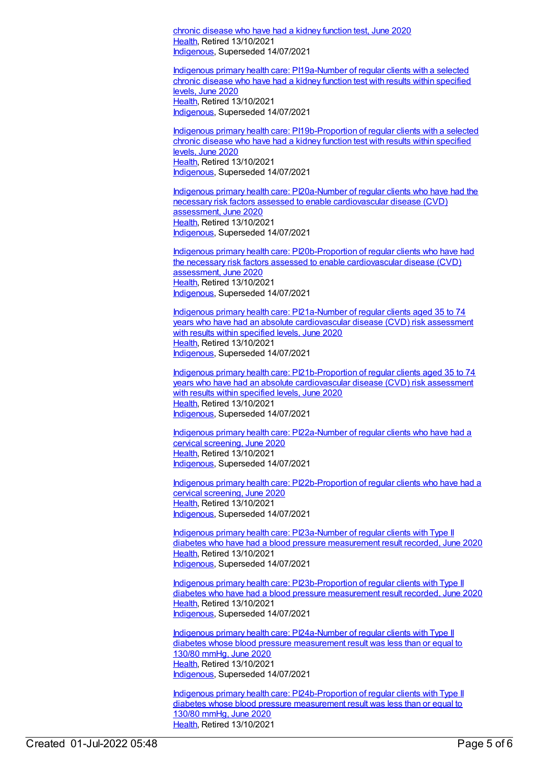chronic disease who have had a kidney function test, June 2020 [Health](https://meteor.aihw.gov.au/RegistrationAuthority/12), Retired 13/10/2021 [Indigenous](https://meteor.aihw.gov.au/RegistrationAuthority/6), Superseded 14/07/2021

Indigenous primary health care: [PI19a-Number](https://meteor.aihw.gov.au/content/717342) of regular clients with a selected chronic disease who have had a kidney function test with results within specified levels, June 2020 [Health](https://meteor.aihw.gov.au/RegistrationAuthority/12), Retired 13/10/2021 [Indigenous](https://meteor.aihw.gov.au/RegistrationAuthority/6), Superseded 14/07/2021

Indigenous primary health care: [PI19b-Proportion](https://meteor.aihw.gov.au/content/717344) of regular clients with a selected chronic disease who have had a kidney function test with results within specified levels, June 2020 [Health](https://meteor.aihw.gov.au/RegistrationAuthority/12), Retired 13/10/2021 [Indigenous](https://meteor.aihw.gov.au/RegistrationAuthority/6), Superseded 14/07/2021

Indigenous primary health care: PI20a-Number of regular clients who have had the necessary risk factors assessed to enable [cardiovascular](https://meteor.aihw.gov.au/content/717348) disease (CVD) assessment, June 2020 [Health](https://meteor.aihw.gov.au/RegistrationAuthority/12), Retired 13/10/2021 [Indigenous](https://meteor.aihw.gov.au/RegistrationAuthority/6), Superseded 14/07/2021

Indigenous primary health care: [PI20b-Proportion](https://meteor.aihw.gov.au/content/717350) of regular clients who have had the necessary risk factors assessed to enable cardiovascular disease (CVD) assessment, June 2020 [Health](https://meteor.aihw.gov.au/RegistrationAuthority/12), Retired 13/10/2021 [Indigenous](https://meteor.aihw.gov.au/RegistrationAuthority/6), Superseded 14/07/2021

Indigenous primary health care: PI21a-Number of regular clients aged 35 to 74 years who have had an absolute [cardiovascular](https://meteor.aihw.gov.au/content/717352) disease (CVD) risk assessment with results within specified levels, June 2020 [Health](https://meteor.aihw.gov.au/RegistrationAuthority/12), Retired 13/10/2021 [Indigenous](https://meteor.aihw.gov.au/RegistrationAuthority/6), Superseded 14/07/2021

Indigenous primary health care: [PI21b-Proportion](https://meteor.aihw.gov.au/content/717354) of regular clients aged 35 to 74 years who have had an absolute cardiovascular disease (CVD) risk assessment with results within specified levels, June 2020 [Health](https://meteor.aihw.gov.au/RegistrationAuthority/12), Retired 13/10/2021 [Indigenous](https://meteor.aihw.gov.au/RegistrationAuthority/6), Superseded 14/07/2021

Indigenous primary health care: [PI22a-Number](https://meteor.aihw.gov.au/content/717356) of regular clients who have had a cervical screening, June 2020 [Health](https://meteor.aihw.gov.au/RegistrationAuthority/12), Retired 13/10/2021 [Indigenous](https://meteor.aihw.gov.au/RegistrationAuthority/6), Superseded 14/07/2021

Indigenous primary health care: [PI22b-Proportion](https://meteor.aihw.gov.au/content/717358) of regular clients who have had a cervical screening, June 2020 [Health](https://meteor.aihw.gov.au/RegistrationAuthority/12), Retired 13/10/2021 [Indigenous](https://meteor.aihw.gov.au/RegistrationAuthority/6), Superseded 14/07/2021

Indigenous primary health care: [PI23a-Number](https://meteor.aihw.gov.au/content/717360) of regular clients with Type II diabetes who have had a blood pressure measurement result recorded, June 2020 [Health](https://meteor.aihw.gov.au/RegistrationAuthority/12), Retired 13/10/2021 [Indigenous](https://meteor.aihw.gov.au/RegistrationAuthority/6), Superseded 14/07/2021

Indigenous primary health care: [PI23b-Proportion](https://meteor.aihw.gov.au/content/717362) of regular clients with Type II diabetes who have had a blood pressure measurement result recorded, June 2020 [Health](https://meteor.aihw.gov.au/RegistrationAuthority/12), Retired 13/10/2021 [Indigenous](https://meteor.aihw.gov.au/RegistrationAuthority/6), Superseded 14/07/2021

Indigenous primary health care: [PI24a-Number](https://meteor.aihw.gov.au/content/717366) of regular clients with Type II diabetes whose blood pressure measurement result was less than or equal to 130/80 mmHg, June 2020 [Health](https://meteor.aihw.gov.au/RegistrationAuthority/12), Retired 13/10/2021 [Indigenous](https://meteor.aihw.gov.au/RegistrationAuthority/6), Superseded 14/07/2021

Indigenous primary health care: [PI24b-Proportion](https://meteor.aihw.gov.au/content/717368) of regular clients with Type II diabetes whose blood pressure measurement result was less than or equal to 130/80 mmHg, June 2020 [Health](https://meteor.aihw.gov.au/RegistrationAuthority/12), Retired 13/10/2021